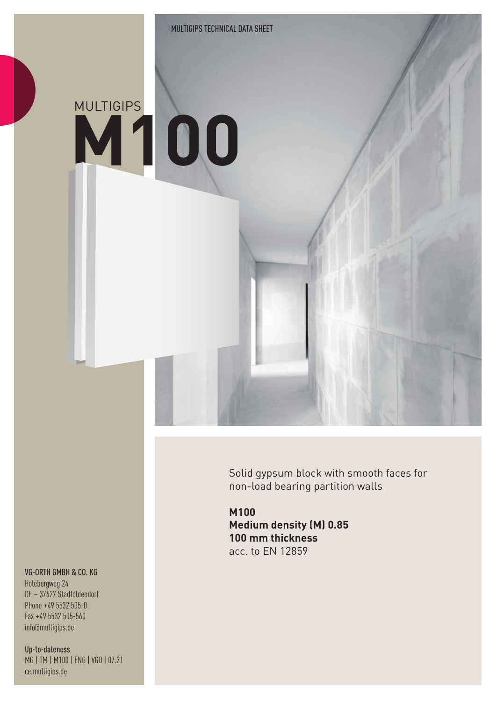# **M100** MULTIGIPS

Solid gypsum block with smooth faces for non-load bearing partition walls

**M100 Medium density (M) 0.85 100 mm thickness** acc. to EN 12859

#### VG-ORTH GMBH & CO. KG

Holeburgweg 24 DE – 37627 Stadtoldendorf Phone +49 5532 505-0 Fax +49 5532 505-560 info@multigips.de

Up-to-dateness MG | TM | M100 | ENG | VGO | 07.21 ce.multigips.de